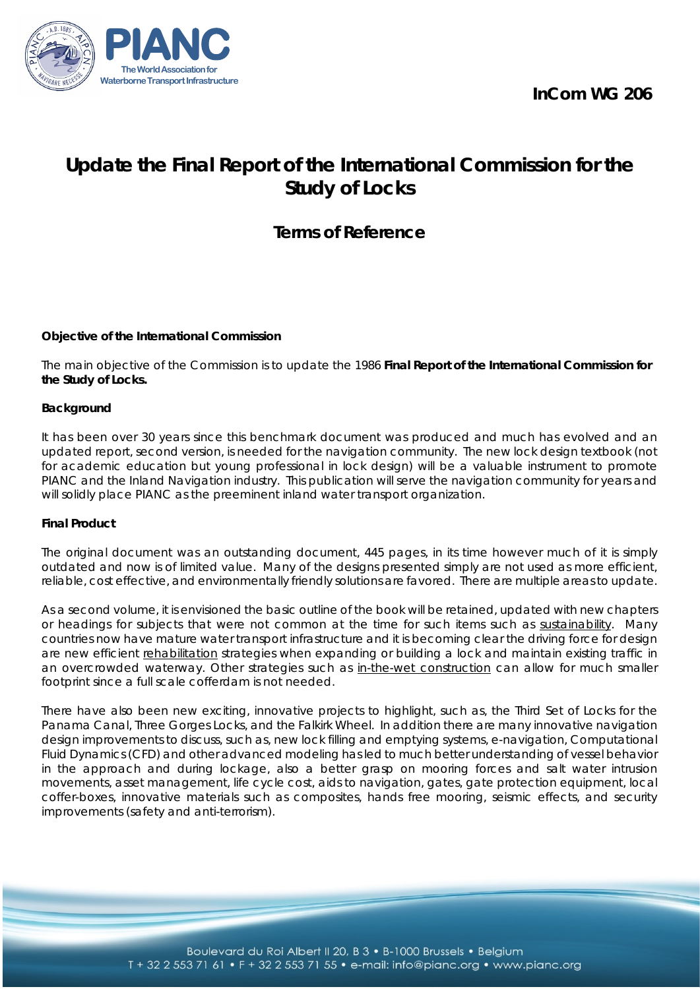**InCom WG 206**



# **Update the Final Report of the International Commission for the Study of Locks**

# **Terms of Reference**

# **Objective of the International Commission**

The main objective of the Commission is to update the 1986 **Final Report of the International Commission for the Study of Locks.**

#### **Background**

It has been over 30 years since this benchmark document was produced and much has evolved and an updated report, second version, is needed for the navigation community. The new lock design textbook (not for academic education but young professional in lock design) will be a valuable instrument to promote PIANC and the Inland Navigation industry. This publication will serve the navigation community for years and will solidly place PIANC as the preeminent inland water transport organization.

#### **Final Product**

The original document was an outstanding document, 445 pages, in its time however much of it is simply outdated and now is of limited value. Many of the designs presented simply are not used as more efficient, reliable, cost effective, and environmentally friendly solutions are favored. There are multiple areas to update.

As a second volume, it is envisioned the basic outline of the book will be retained, updated with new chapters or headings for subjects that were not common at the time for such items such as sustainability. Many countries now have mature water transport infrastructure and it is becoming clear the driving force for design are new efficient rehabilitation strategies when expanding or building a lock and maintain existing traffic in an overcrowded waterway. Other strategies such as in-the-wet construction can allow for much smaller footprint since a full scale cofferdam is not needed.

There have also been new exciting, innovative projects to highlight, such as, the Third Set of Locks for the Panama Canal, Three Gorges Locks, and the Falkirk Wheel. In addition there are many innovative navigation design improvements to discuss, such as, new lock filling and emptying systems, e-navigation, Computational Fluid Dynamics (CFD) and other advanced modeling has led to much better understanding of vessel behavior in the approach and during lockage, also a better grasp on mooring forces and salt water intrusion movements, asset management, life cycle cost, aids to navigation, gates, gate protection equipment, local coffer-boxes, innovative materials such as composites, hands free mooring, seismic effects, and security improvements (safety and anti-terrorism).